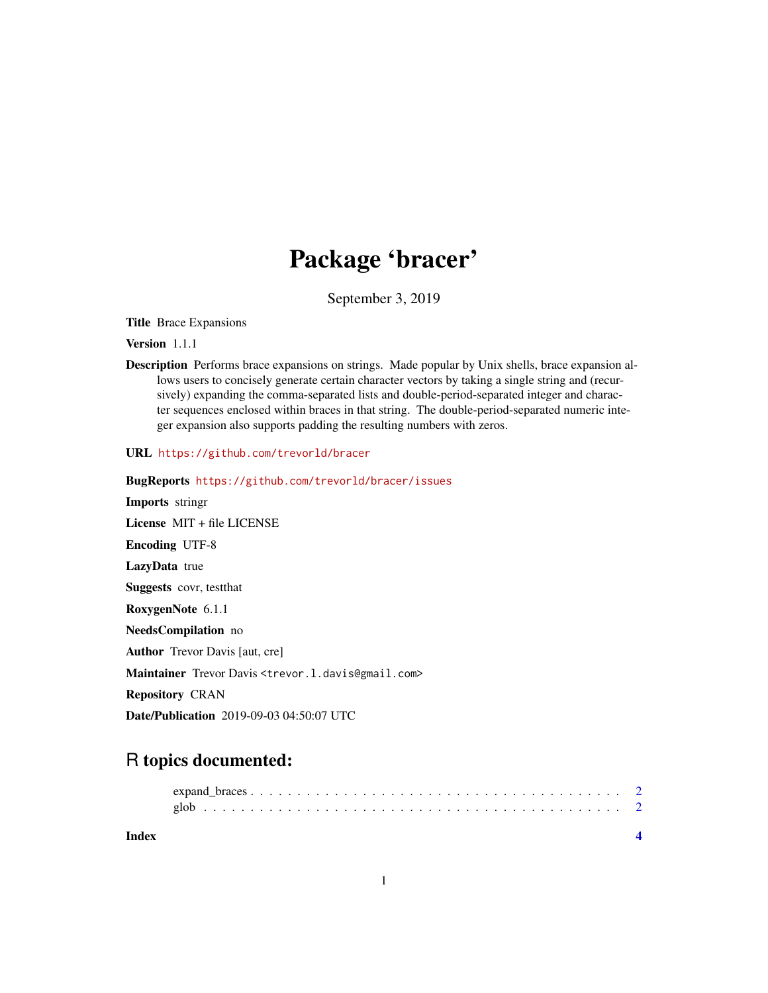## Package 'bracer'

September 3, 2019

Title Brace Expansions

Version 1.1.1

Description Performs brace expansions on strings. Made popular by Unix shells, brace expansion allows users to concisely generate certain character vectors by taking a single string and (recursively) expanding the comma-separated lists and double-period-separated integer and character sequences enclosed within braces in that string. The double-period-separated numeric integer expansion also supports padding the resulting numbers with zeros.

URL <https://github.com/trevorld/bracer>

BugReports <https://github.com/trevorld/bracer/issues> Imports stringr License MIT + file LICENSE Encoding UTF-8 LazyData true Suggests covr, testthat RoxygenNote 6.1.1 NeedsCompilation no Author Trevor Davis [aut, cre] Maintainer Trevor Davis <trevor.1.davis@gmail.com> Repository CRAN Date/Publication 2019-09-03 04:50:07 UTC

## R topics documented:

| Index |  |
|-------|--|
|       |  |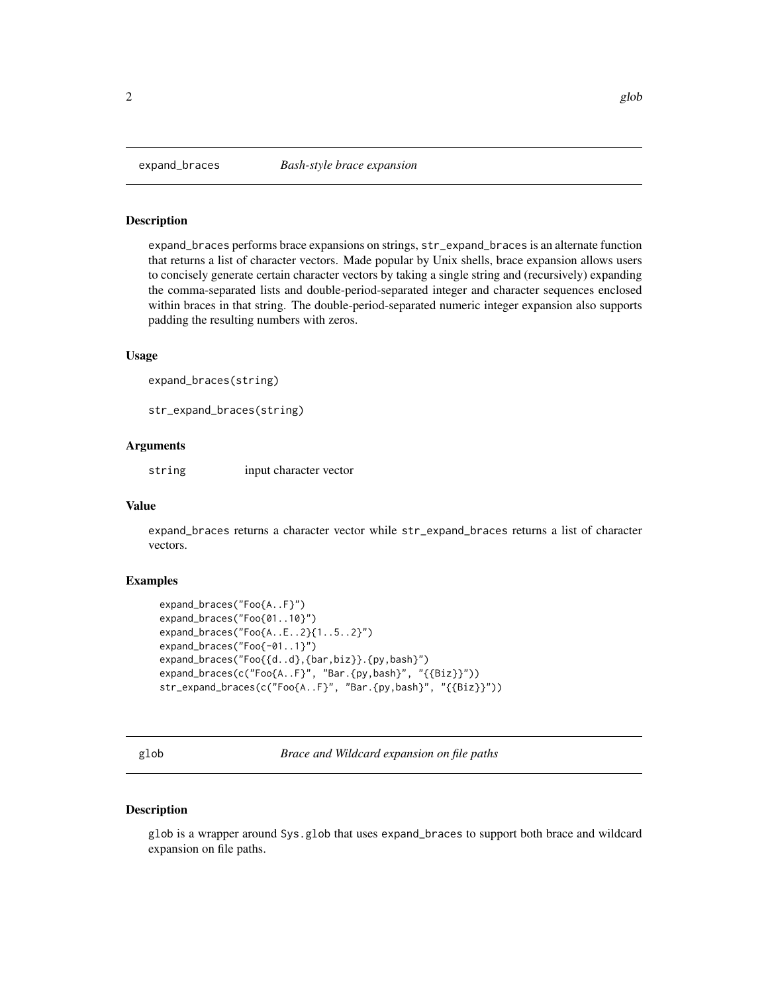#### <span id="page-1-0"></span>Description

expand\_braces performs brace expansions on strings, str\_expand\_braces is an alternate function that returns a list of character vectors. Made popular by Unix shells, brace expansion allows users to concisely generate certain character vectors by taking a single string and (recursively) expanding the comma-separated lists and double-period-separated integer and character sequences enclosed within braces in that string. The double-period-separated numeric integer expansion also supports padding the resulting numbers with zeros.

#### Usage

```
expand_braces(string)
```
str\_expand\_braces(string)

#### Arguments

string input character vector

#### Value

expand\_braces returns a character vector while str\_expand\_braces returns a list of character vectors.

#### Examples

```
expand_braces("Foo{A..F}")
expand_braces("Foo{01..10}")
expand_braces("Foo{A..E..2}{1..5..2}")
expand_braces("Foo{-01..1}")
expand_braces("Foo{{d..d},{bar,biz}}.{py,bash}")
expand_braces(c("Foo{A..F}", "Bar.{py,bash}", "{{Biz}}"))
str_expand_braces(c("Foo{A..F}", "Bar.{py,bash}", "{{Biz}}"))
```
glob *Brace and Wildcard expansion on file paths*

#### Description

glob is a wrapper around Sys.glob that uses expand\_braces to support both brace and wildcard expansion on file paths.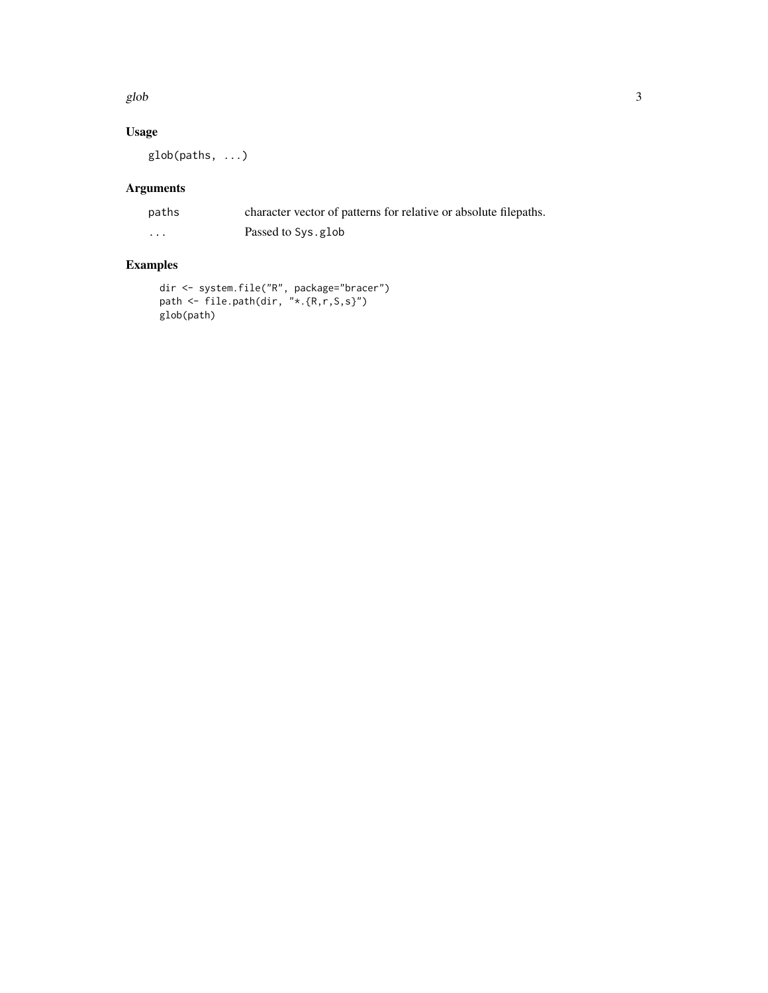glob  $3$ 

#### Usage

glob(paths, ...)

## Arguments

| paths    | character vector of patterns for relative or absolute filepaths. |
|----------|------------------------------------------------------------------|
| $\cdots$ | Passed to Sys.glob                                               |

## Examples

```
dir <- system.file("R", package="bracer")
path <- file.path(dir, "*.{R,r,S,s}")
glob(path)
```